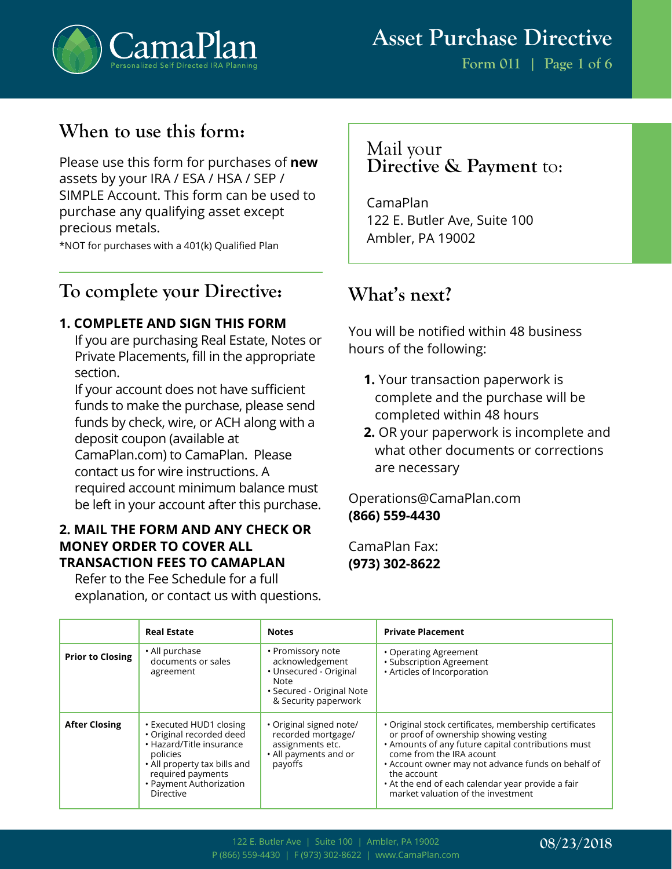

**Form 011 | Page 1 of 6**

# **When to use this form:**

Please use this form for purchases of **new** assets by your IRA / ESA / HSA / SEP / SIMPLE Account. This form can be used to purchase any qualifying asset except precious metals.

\*NOT for purchases with a 401(k) Qualified Plan

## **To complete your Directive:**

#### **1. COMPLETE AND SIGN THIS FORM**

If you are purchasing Real Estate, Notes or Private Placements, fill in the appropriate section.

If your account does not have sufficient funds to make the purchase, please send funds by check, wire, or ACH along with a deposit coupon (available at CamaPlan.com) to CamaPlan. Please contact us for wire instructions. A required account minimum balance must be left in your account after this purchase.

#### **2. MAIL THE FORM AND ANY CHECK OR MONEY ORDER TO COVER ALL TRANSACTION FEES TO CAMAPLAN**

Refer to the Fee Schedule for a full explanation, or contact us with questions.

## Mail your **Directive & Payment** to:

CamaPlan 122 E. Butler Ave, Suite 100 Ambler, PA 19002

# **What's next?**

You will be notified within 48 business hours of the following:

- **1.** Your transaction paperwork is complete and the purchase will be completed within 48 hours
- **2.** OR your paperwork is incomplete and what other documents or corrections are necessary

## Operations@CamaPlan.com **(866) 559-4430**

CamaPlan Fax: **(973) 302-8622**

|                         | <b>Real Estate</b>                                                                                                                                                                              | <b>Notes</b>                                                                                                                | <b>Private Placement</b>                                                                                                                                                                                                                                                                                                                          |
|-------------------------|-------------------------------------------------------------------------------------------------------------------------------------------------------------------------------------------------|-----------------------------------------------------------------------------------------------------------------------------|---------------------------------------------------------------------------------------------------------------------------------------------------------------------------------------------------------------------------------------------------------------------------------------------------------------------------------------------------|
| <b>Prior to Closing</b> | • All purchase<br>documents or sales<br>agreement                                                                                                                                               | • Promissory note<br>acknowledgement<br>· Unsecured - Original<br>Note<br>• Secured - Original Note<br>& Security paperwork | • Operating Agreement<br>· Subscription Agreement<br>· Articles of Incorporation                                                                                                                                                                                                                                                                  |
| <b>After Closing</b>    | • Executed HUD1 closing<br>· Original recorded deed<br>• Hazard/Title insurance<br>policies<br>• All property tax bills and<br>required payments<br>• Payment Authorization<br><b>Directive</b> | · Original signed note/<br>recorded mortgage/<br>assignments etc.<br>• All payments and or<br>payoffs                       | • Original stock certificates, membership certificates<br>or proof of ownership showing vesting<br>• Amounts of any future capital contributions must<br>come from the IRA acount<br>• Account owner may not advance funds on behalf of<br>the account<br>• At the end of each calendar year provide a fair<br>market valuation of the investment |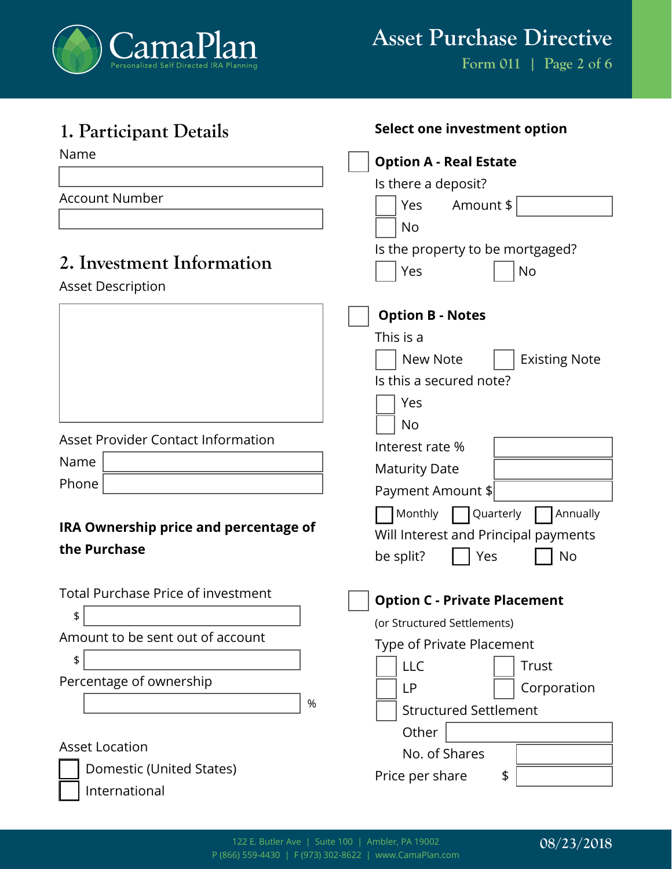

**Form 011 | Page 2 of 6**

| 1. Participant Details                    | Select one investment option         |
|-------------------------------------------|--------------------------------------|
| Name                                      | <b>Option A - Real Estate</b>        |
|                                           | Is there a deposit?                  |
| <b>Account Number</b>                     | Yes<br>Amount \$                     |
|                                           | <b>No</b>                            |
|                                           | Is the property to be mortgaged?     |
| 2. Investment Information                 | Yes<br><b>No</b>                     |
| <b>Asset Description</b>                  |                                      |
|                                           | <b>Option B - Notes</b>              |
|                                           | This is a                            |
|                                           | <b>Existing Note</b><br>New Note     |
|                                           | Is this a secured note?              |
|                                           | Yes                                  |
|                                           | <b>No</b>                            |
| <b>Asset Provider Contact Information</b> | Interest rate %                      |
| Name                                      | <b>Maturity Date</b>                 |
| Phone                                     | Payment Amount \$                    |
|                                           | Monthly<br>Quarterly<br>Annually     |
| IRA Ownership price and percentage of     | Will Interest and Principal payments |
| the Purchase                              | Yes<br><b>No</b><br>be split?        |
|                                           |                                      |
| Total Purchase Price of investment        | <b>Option C - Private Placement</b>  |
| \$                                        | (or Structured Settlements)          |
| Amount to be sent out of account          | Type of Private Placement            |
| \$                                        | <b>LLC</b><br>Trust                  |
| Percentage of ownership                   | Corporation<br>LP                    |
| $\%$                                      | <b>Structured Settlement</b>         |
|                                           | Other                                |
| <b>Asset Location</b>                     | No. of Shares                        |
| Domestic (United States)                  | \$<br>Price per share                |
| International                             |                                      |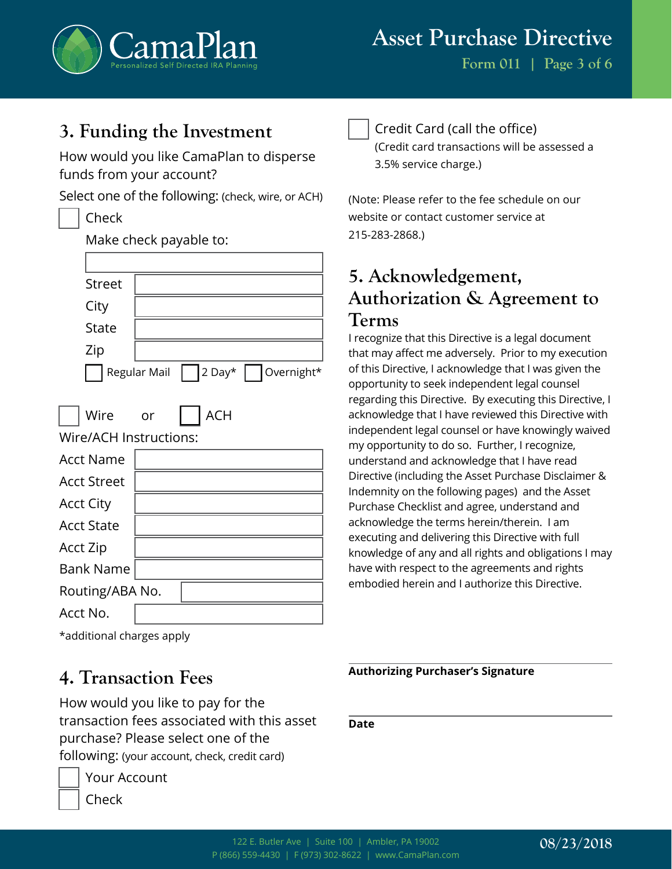

# **3. Funding the Investment**

Make check payable to:

How would you like CamaPlan to disperse funds from your account?

Select one of the following: (check, wire, or ACH)

#### Check

|                        | idhe cheen payable to:            |  |  |  |
|------------------------|-----------------------------------|--|--|--|
|                        |                                   |  |  |  |
| <b>Street</b>          |                                   |  |  |  |
| City                   |                                   |  |  |  |
| <b>State</b>           |                                   |  |  |  |
| Zip                    |                                   |  |  |  |
|                        | 2 Day* Overnight*<br>Regular Mail |  |  |  |
| Wire                   | <b>ACH</b><br>or                  |  |  |  |
| Wire/ACH Instructions: |                                   |  |  |  |
| <b>Acct Name</b>       |                                   |  |  |  |
| <b>Acct Street</b>     |                                   |  |  |  |
| <b>Acct City</b>       |                                   |  |  |  |
| <b>Acct State</b>      |                                   |  |  |  |
| Acct Zip               |                                   |  |  |  |
| <b>Bank Name</b>       |                                   |  |  |  |
| Routing/ABA No.        |                                   |  |  |  |
| Acct No.               |                                   |  |  |  |

#### \*additional charges apply

## **4. Transaction Fees**

How would you like to pay for the transaction fees associated with this asset purchase? Please select one of the following: (your account, check, credit card)



Your Account

Check

Credit Card (call the office)

(Credit card transactions will be assessed a 3.5% service charge.)

(Note: Please refer to the fee schedule on our website or contact customer service at 215-283-2868.)

# **5. Acknowledgement, Authorization & Agreement to Terms**

I recognize that this Directive is a legal document that may affect me adversely. Prior to my execution of this Directive, I acknowledge that I was given the opportunity to seek independent legal counsel regarding this Directive. By executing this Directive, I acknowledge that I have reviewed this Directive with independent legal counsel or have knowingly waived my opportunity to do so. Further, I recognize, understand and acknowledge that I have read Directive (including the Asset Purchase Disclaimer & Indemnity on the following pages) and the Asset Purchase Checklist and agree, understand and acknowledge the terms herein/therein. I am executing and delivering this Directive with full knowledge of any and all rights and obligations I may have with respect to the agreements and rights embodied herein and I authorize this Directive.

**Authorizing Purchaser's Signature**

**Date**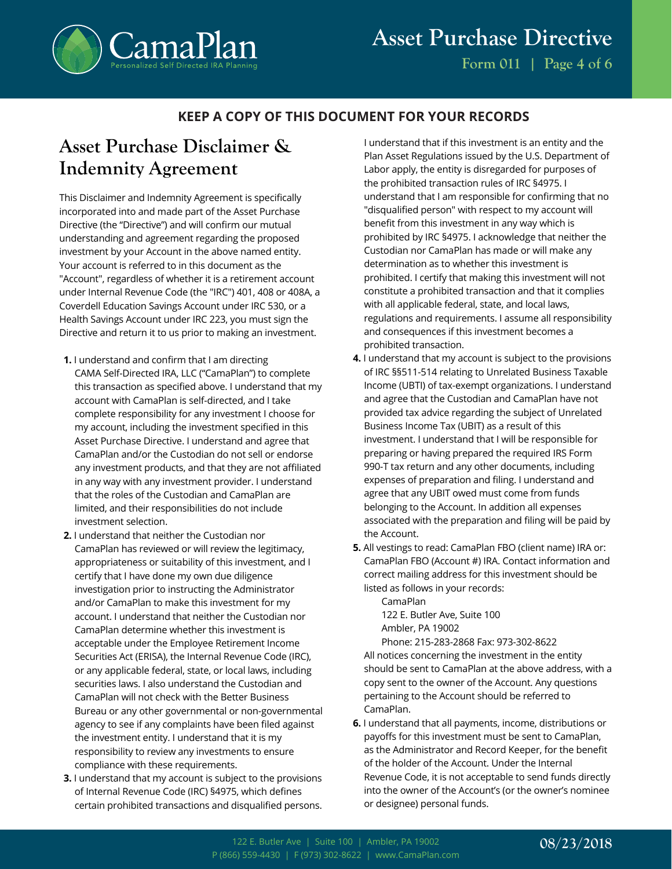

## **KEEP A COPY OF THIS DOCUMENT FOR YOUR RECORDS**

## **Asset Purchase Disclaimer & Indemnity Agreement**

This Disclaimer and Indemnity Agreement is specifically incorporated into and made part of the Asset Purchase Directive (the "Directive") and will confirm our mutual understanding and agreement regarding the proposed investment by your Account in the above named entity. Your account is referred to in this document as the "Account", regardless of whether it is a retirement account under Internal Revenue Code (the "IRC") 401, 408 or 408A, a Coverdell Education Savings Account under IRC 530, or a Health Savings Account under IRC 223, you must sign the Directive and return it to us prior to making an investment.

- **1.** I understand and confirm that I am directing CAMA Self-Directed IRA, LLC ("CamaPlan") to complete this transaction as specified above. I understand that my account with CamaPlan is self-directed, and I take complete responsibility for any investment I choose for my account, including the investment specified in this Asset Purchase Directive. I understand and agree that CamaPlan and/or the Custodian do not sell or endorse any investment products, and that they are not affiliated in any way with any investment provider. I understand that the roles of the Custodian and CamaPlan are limited, and their responsibilities do not include investment selection.
- **2.** I understand that neither the Custodian nor CamaPlan has reviewed or will review the legitimacy, appropriateness or suitability of this investment, and I certify that I have done my own due diligence investigation prior to instructing the Administrator and/or CamaPlan to make this investment for my account. I understand that neither the Custodian nor CamaPlan determine whether this investment is acceptable under the Employee Retirement Income Securities Act (ERISA), the Internal Revenue Code (IRC), or any applicable federal, state, or local laws, including securities laws. I also understand the Custodian and CamaPlan will not check with the Better Business Bureau or any other governmental or non-governmental agency to see if any complaints have been filed against the investment entity. I understand that it is my responsibility to review any investments to ensure compliance with these requirements.
- **3.** I understand that my account is subject to the provisions of Internal Revenue Code (IRC) §4975, which defines certain prohibited transactions and disqualified persons.

I understand that if this investment is an entity and the Plan Asset Regulations issued by the U.S. Department of Labor apply, the entity is disregarded for purposes of the prohibited transaction rules of IRC §4975. I understand that I am responsible for confirming that no "disqualified person" with respect to my account will benefit from this investment in any way which is prohibited by IRC §4975. I acknowledge that neither the Custodian nor CamaPlan has made or will make any determination as to whether this investment is prohibited. I certify that making this investment will not constitute a prohibited transaction and that it complies with all applicable federal, state, and local laws, regulations and requirements. I assume all responsibility and consequences if this investment becomes a prohibited transaction.

- **4.** I understand that my account is subject to the provisions of IRC §§511-514 relating to Unrelated Business Taxable Income (UBTI) of tax-exempt organizations. I understand and agree that the Custodian and CamaPlan have not provided tax advice regarding the subject of Unrelated Business Income Tax (UBIT) as a result of this investment. I understand that I will be responsible for preparing or having prepared the required IRS Form 990-T tax return and any other documents, including expenses of preparation and filing. I understand and agree that any UBIT owed must come from funds belonging to the Account. In addition all expenses associated with the preparation and filing will be paid by the Account.
- **5.** All vestings to read: CamaPlan FBO (client name) IRA or: CamaPlan FBO (Account #) IRA. Contact information and correct mailing address for this investment should be listed as follows in your records:

CamaPlan 122 E. Butler Ave, Suite 100 Ambler, PA 19002

Phone: 215-283-2868 Fax: 973-302-8622 All notices concerning the investment in the entity should be sent to CamaPlan at the above address, with a copy sent to the owner of the Account. Any questions pertaining to the Account should be referred to CamaPlan.

**6.** I understand that all payments, income, distributions or payoffs for this investment must be sent to CamaPlan, as the Administrator and Record Keeper, for the benefit of the holder of the Account. Under the Internal Revenue Code, it is not acceptable to send funds directly into the owner of the Account's (or the owner's nominee or designee) personal funds.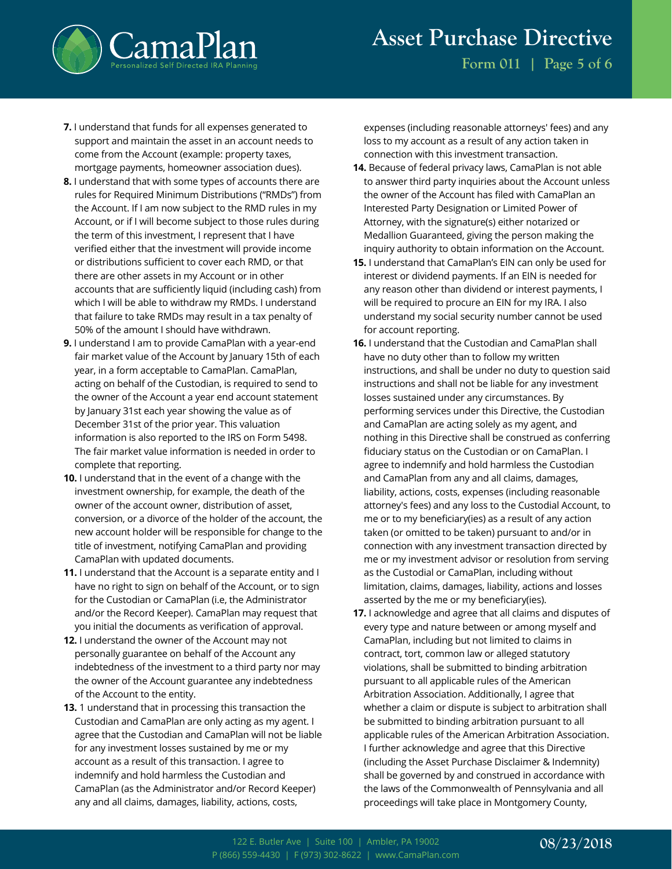

**Form 011 | Page 5 of 6**

- **7.** I understand that funds for all expenses generated to support and maintain the asset in an account needs to come from the Account (example: property taxes, mortgage payments, homeowner association dues).
- **8.** I understand that with some types of accounts there are rules for Required Minimum Distributions ("RMDs") from the Account. If I am now subject to the RMD rules in my Account, or if I will become subject to those rules during the term of this investment, I represent that I have verified either that the investment will provide income or distributions sufficient to cover each RMD, or that there are other assets in my Account or in other accounts that are sufficiently liquid (including cash) from which I will be able to withdraw my RMDs. I understand that failure to take RMDs may result in a tax penalty of 50% of the amount I should have withdrawn.
- **9.** I understand I am to provide CamaPlan with a year-end fair market value of the Account by January 15th of each year, in a form acceptable to CamaPlan. CamaPlan, acting on behalf of the Custodian, is required to send to the owner of the Account a year end account statement by January 31st each year showing the value as of December 31st of the prior year. This valuation information is also reported to the IRS on Form 5498. The fair market value information is needed in order to complete that reporting.
- **10.** I understand that in the event of a change with the investment ownership, for example, the death of the owner of the account owner, distribution of asset, conversion, or a divorce of the holder of the account, the new account holder will be responsible for change to the title of investment, notifying CamaPlan and providing CamaPlan with updated documents.
- **11.** I understand that the Account is a separate entity and I have no right to sign on behalf of the Account, or to sign for the Custodian or CamaPlan (i.e, the Administrator and/or the Record Keeper). CamaPlan may request that you initial the documents as verification of approval.
- **12.** I understand the owner of the Account may not personally guarantee on behalf of the Account any indebtedness of the investment to a third party nor may the owner of the Account guarantee any indebtedness of the Account to the entity.
- **13.** 1 understand that in processing this transaction the Custodian and CamaPlan are only acting as my agent. I agree that the Custodian and CamaPlan will not be liable for any investment losses sustained by me or my account as a result of this transaction. I agree to indemnify and hold harmless the Custodian and CamaPlan (as the Administrator and/or Record Keeper) any and all claims, damages, liability, actions, costs,

expenses (including reasonable attorneys' fees) and any loss to my account as a result of any action taken in connection with this investment transaction.

- **14.** Because of federal privacy laws, CamaPlan is not able to answer third party inquiries about the Account unless the owner of the Account has filed with CamaPlan an Interested Party Designation or Limited Power of Attorney, with the signature(s) either notarized or Medallion Guaranteed, giving the person making the inquiry authority to obtain information on the Account.
- **15.** I understand that CamaPlan's EIN can only be used for interest or dividend payments. If an EIN is needed for any reason other than dividend or interest payments, I will be required to procure an EIN for my IRA. I also understand my social security number cannot be used for account reporting.
- **16.** I understand that the Custodian and CamaPlan shall have no duty other than to follow my written instructions, and shall be under no duty to question said instructions and shall not be liable for any investment losses sustained under any circumstances. By performing services under this Directive, the Custodian and CamaPlan are acting solely as my agent, and nothing in this Directive shall be construed as conferring fiduciary status on the Custodian or on CamaPlan. I agree to indemnify and hold harmless the Custodian and CamaPlan from any and all claims, damages, liability, actions, costs, expenses (including reasonable attorney's fees) and any loss to the Custodial Account, to me or to my beneficiary(ies) as a result of any action taken (or omitted to be taken) pursuant to and/or in connection with any investment transaction directed by me or my investment advisor or resolution from serving as the Custodial or CamaPlan, including without limitation, claims, damages, liability, actions and losses asserted by the me or my beneficiary(ies).
- **17.** I acknowledge and agree that all claims and disputes of every type and nature between or among myself and CamaPlan, including but not limited to claims in contract, tort, common law or alleged statutory violations, shall be submitted to binding arbitration pursuant to all applicable rules of the American Arbitration Association. Additionally, I agree that whether a claim or dispute is subject to arbitration shall be submitted to binding arbitration pursuant to all applicable rules of the American Arbitration Association. I further acknowledge and agree that this Directive (including the Asset Purchase Disclaimer & Indemnity) shall be governed by and construed in accordance with the laws of the Commonwealth of Pennsylvania and all proceedings will take place in Montgomery County,